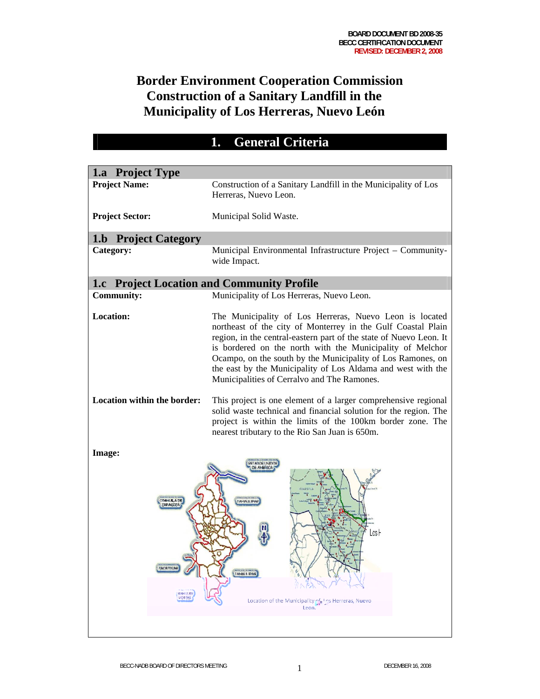## **Border Environment Cooperation Commission Construction of a Sanitary Landfill in the Municipality of Los Herreras, Nuevo León**

## **1. General Criteria**

| 1.a Project Type                                    |                                                                                                                                                                                                                                                                                                                                                                                                                                          |  |  |
|-----------------------------------------------------|------------------------------------------------------------------------------------------------------------------------------------------------------------------------------------------------------------------------------------------------------------------------------------------------------------------------------------------------------------------------------------------------------------------------------------------|--|--|
| <b>Project Name:</b>                                | Construction of a Sanitary Landfill in the Municipality of Los<br>Herreras, Nuevo Leon.                                                                                                                                                                                                                                                                                                                                                  |  |  |
| <b>Project Sector:</b>                              | Municipal Solid Waste.                                                                                                                                                                                                                                                                                                                                                                                                                   |  |  |
| <b>1.b</b> Project Category                         |                                                                                                                                                                                                                                                                                                                                                                                                                                          |  |  |
| Category:                                           | Municipal Environmental Infrastructure Project - Community-<br>wide Impact.                                                                                                                                                                                                                                                                                                                                                              |  |  |
| 1.c Project Location and Community Profile          |                                                                                                                                                                                                                                                                                                                                                                                                                                          |  |  |
| <b>Community:</b>                                   | Municipality of Los Herreras, Nuevo Leon.                                                                                                                                                                                                                                                                                                                                                                                                |  |  |
| <b>Location:</b>                                    | The Municipality of Los Herreras, Nuevo Leon is located<br>northeast of the city of Monterrey in the Gulf Coastal Plain<br>region, in the central-eastern part of the state of Nuevo Leon. It<br>is bordered on the north with the Municipality of Melchor<br>Ocampo, on the south by the Municipality of Los Ramones, on<br>the east by the Municipality of Los Aldama and west with the<br>Municipalities of Cerralvo and The Ramones. |  |  |
| Location within the border:                         | This project is one element of a larger comprehensive regional<br>solid waste technical and financial solution for the region. The<br>project is within the limits of the 100km border zone. The<br>nearest tributary to the Rio San Juan is 650m.                                                                                                                                                                                       |  |  |
| Image:                                              |                                                                                                                                                                                                                                                                                                                                                                                                                                          |  |  |
| <b>ZACATECAS</b><br><b>SANTURS</b><br><b>POT061</b> | <b>FAMALLIPAG</b><br>Los H<br><b>TAMALI IDAS</b><br>Location of the Municipality of Los Herreras, Nuevo<br>Leon.                                                                                                                                                                                                                                                                                                                         |  |  |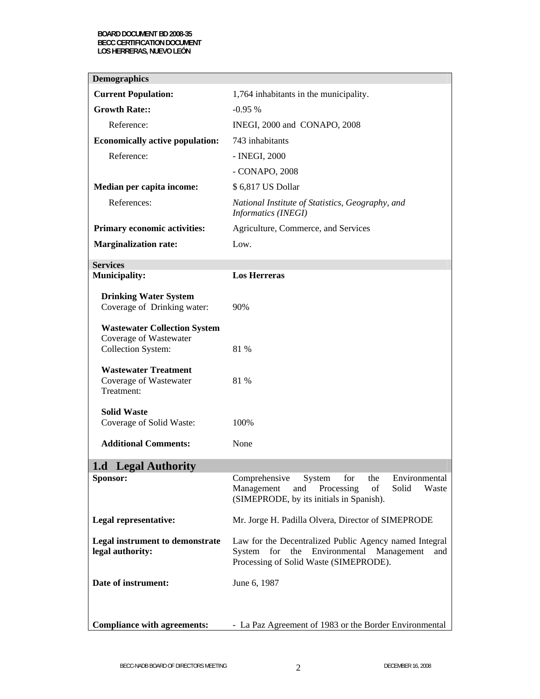| <b>Demographics</b>                                                                        |                                                                                                                                                               |  |
|--------------------------------------------------------------------------------------------|---------------------------------------------------------------------------------------------------------------------------------------------------------------|--|
| <b>Current Population:</b>                                                                 | 1,764 inhabitants in the municipality.                                                                                                                        |  |
| <b>Growth Rate::</b>                                                                       | $-0.95%$                                                                                                                                                      |  |
| Reference:                                                                                 | INEGI, 2000 and CONAPO, 2008                                                                                                                                  |  |
| <b>Economically active population:</b>                                                     | 743 inhabitants                                                                                                                                               |  |
| Reference:                                                                                 | - INEGI, 2000                                                                                                                                                 |  |
|                                                                                            | - CONAPO, 2008                                                                                                                                                |  |
| Median per capita income:                                                                  | \$6,817 US Dollar                                                                                                                                             |  |
| References:                                                                                | National Institute of Statistics, Geography, and<br>Informatics (INEGI)                                                                                       |  |
| <b>Primary economic activities:</b>                                                        | Agriculture, Commerce, and Services                                                                                                                           |  |
| <b>Marginalization rate:</b>                                                               | Low.                                                                                                                                                          |  |
| <b>Services</b>                                                                            |                                                                                                                                                               |  |
| <b>Municipality:</b>                                                                       | <b>Los Herreras</b>                                                                                                                                           |  |
| <b>Drinking Water System</b><br>Coverage of Drinking water:                                | 90%                                                                                                                                                           |  |
| <b>Wastewater Collection System</b><br>Coverage of Wastewater<br><b>Collection System:</b> | 81 %                                                                                                                                                          |  |
| <b>Wastewater Treatment</b><br>Coverage of Wastewater<br>Treatment:                        | 81 %                                                                                                                                                          |  |
| <b>Solid Waste</b><br>Coverage of Solid Waste:<br><b>Additional Comments:</b>              | 100%<br>None                                                                                                                                                  |  |
|                                                                                            |                                                                                                                                                               |  |
| 1.d Legal Authority                                                                        |                                                                                                                                                               |  |
| Sponsor:                                                                                   | Comprehensive<br>for<br>the<br>Environmental<br>System<br>Management<br>Processing<br>of<br>Solid<br>and<br>Waste<br>(SIMEPRODE, by its initials in Spanish). |  |
| Legal representative:                                                                      | Mr. Jorge H. Padilla Olvera, Director of SIMEPRODE                                                                                                            |  |
| <b>Legal instrument to demonstrate</b><br>legal authority:                                 | Law for the Decentralized Public Agency named Integral<br>System for the Environmental Management<br>and<br>Processing of Solid Waste (SIMEPRODE).            |  |
| Date of instrument:                                                                        | June 6, 1987                                                                                                                                                  |  |
| <b>Compliance with agreements:</b>                                                         | - La Paz Agreement of 1983 or the Border Environmental                                                                                                        |  |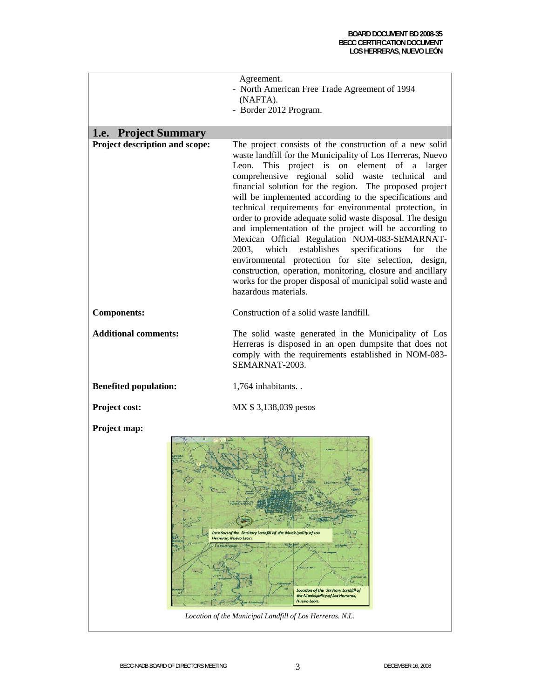|                                | Agreement.<br>- North American Free Trade Agreement of 1994<br>(NAFTA).<br>- Border 2012 Program.                                                                                                                                                                                                                                                                                                                                                                                                                                                                                                                                                                                                                                                                                                                                                                         |  |
|--------------------------------|---------------------------------------------------------------------------------------------------------------------------------------------------------------------------------------------------------------------------------------------------------------------------------------------------------------------------------------------------------------------------------------------------------------------------------------------------------------------------------------------------------------------------------------------------------------------------------------------------------------------------------------------------------------------------------------------------------------------------------------------------------------------------------------------------------------------------------------------------------------------------|--|
| 1.e. Project Summary           |                                                                                                                                                                                                                                                                                                                                                                                                                                                                                                                                                                                                                                                                                                                                                                                                                                                                           |  |
| Project description and scope: | The project consists of the construction of a new solid<br>waste landfill for the Municipality of Los Herreras, Nuevo<br>This project is on element of a larger<br>Leon.<br>comprehensive regional solid waste<br>technical<br>and<br>financial solution for the region. The proposed project<br>will be implemented according to the specifications and<br>technical requirements for environmental protection, in<br>order to provide adequate solid waste disposal. The design<br>and implementation of the project will be according to<br>Mexican Official Regulation NOM-083-SEMARNAT-<br>which<br>establishes<br>specifications<br>2003,<br>for<br>the<br>environmental protection for site selection, design,<br>construction, operation, monitoring, closure and ancillary<br>works for the proper disposal of municipal solid waste and<br>hazardous materials. |  |
| <b>Components:</b>             | Construction of a solid waste landfill.                                                                                                                                                                                                                                                                                                                                                                                                                                                                                                                                                                                                                                                                                                                                                                                                                                   |  |
| <b>Additional comments:</b>    | The solid waste generated in the Municipality of Los<br>Herreras is disposed in an open dumpsite that does not<br>comply with the requirements established in NOM-083-<br>SEMARNAT-2003.                                                                                                                                                                                                                                                                                                                                                                                                                                                                                                                                                                                                                                                                                  |  |
| <b>Benefited population:</b>   | 1,764 inhabitants                                                                                                                                                                                                                                                                                                                                                                                                                                                                                                                                                                                                                                                                                                                                                                                                                                                         |  |
| Project cost:                  | MX \$3,138,039 pesos                                                                                                                                                                                                                                                                                                                                                                                                                                                                                                                                                                                                                                                                                                                                                                                                                                                      |  |
| Project map:                   | Location of the Sanitary Landfill of the Municipality of Los<br>Herreras, Nuevo Leon.<br>011131970<br>Location of the Sanitary Landfill of<br>the Municipality of Los Herreras,<br>Nuevo Leon.                                                                                                                                                                                                                                                                                                                                                                                                                                                                                                                                                                                                                                                                            |  |
|                                | Location of the Municipal Landfill of Los Herreras. N.L.                                                                                                                                                                                                                                                                                                                                                                                                                                                                                                                                                                                                                                                                                                                                                                                                                  |  |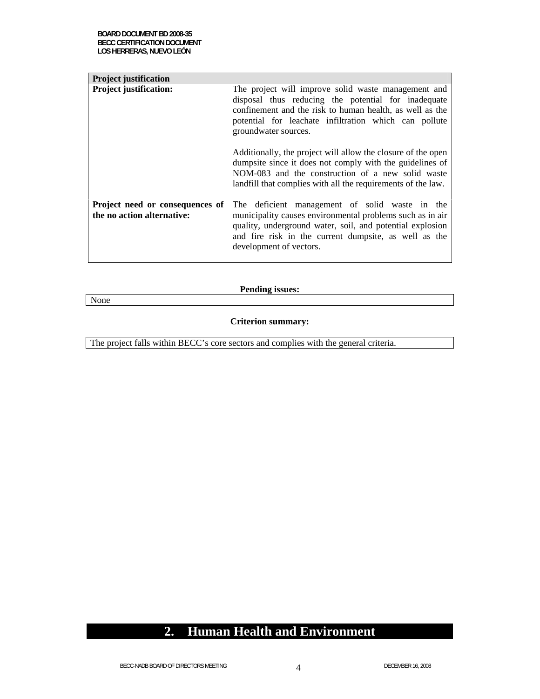None

| <b>Project justification</b>                                  |                                                                                                                                                                                                                                                              |  |  |
|---------------------------------------------------------------|--------------------------------------------------------------------------------------------------------------------------------------------------------------------------------------------------------------------------------------------------------------|--|--|
| <b>Project justification:</b>                                 | The project will improve solid waste management and<br>disposal thus reducing the potential for inadequate<br>confinement and the risk to human health, as well as the<br>potential for leachate infiltration which can pollute<br>groundwater sources.      |  |  |
|                                                               | Additionally, the project will allow the closure of the open<br>dumpsite since it does not comply with the guidelines of<br>NOM-083 and the construction of a new solid waste<br>landfill that complies with all the requirements of the law.                |  |  |
| Project need or consequences of<br>the no action alternative: | The deficient management of solid waste in the<br>municipality causes environmental problems such as in air<br>quality, underground water, soil, and potential explosion<br>and fire risk in the current dumpsite, as well as the<br>development of vectors. |  |  |

**Pending issues:** 

# **Criterion summary:**

The project falls within BECC's core sectors and complies with the general criteria.

### **2. Human Health and Environment**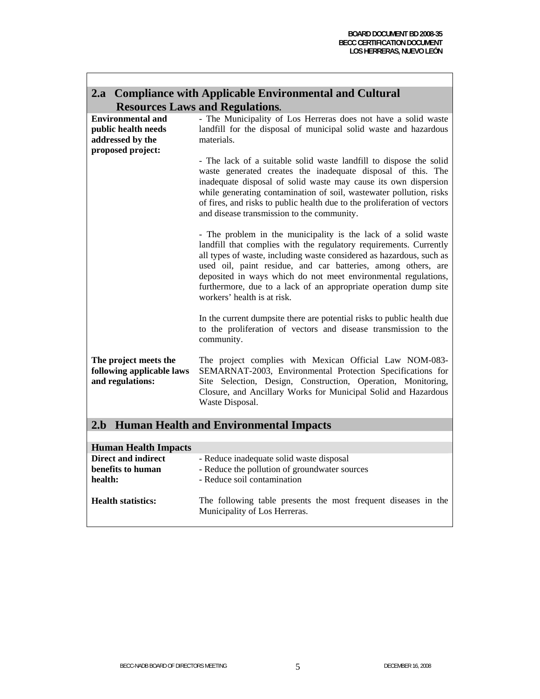| 2.a Compliance with Applicable Environmental and Cultural                                |                                                                                                                                                                                                                                                                                                                                                                                                                                                    |  |  |  |  |
|------------------------------------------------------------------------------------------|----------------------------------------------------------------------------------------------------------------------------------------------------------------------------------------------------------------------------------------------------------------------------------------------------------------------------------------------------------------------------------------------------------------------------------------------------|--|--|--|--|
|                                                                                          | <b>Resources Laws and Regulations.</b>                                                                                                                                                                                                                                                                                                                                                                                                             |  |  |  |  |
| <b>Environmental and</b><br>public health needs<br>addressed by the<br>proposed project: | - The Municipality of Los Herreras does not have a solid waste<br>landfill for the disposal of municipal solid waste and hazardous<br>materials.                                                                                                                                                                                                                                                                                                   |  |  |  |  |
|                                                                                          | - The lack of a suitable solid waste landfill to dispose the solid<br>waste generated creates the inadequate disposal of this. The<br>inadequate disposal of solid waste may cause its own dispersion<br>while generating contamination of soil, wastewater pollution, risks<br>of fires, and risks to public health due to the proliferation of vectors<br>and disease transmission to the community.                                             |  |  |  |  |
|                                                                                          | - The problem in the municipality is the lack of a solid waste<br>landfill that complies with the regulatory requirements. Currently<br>all types of waste, including waste considered as hazardous, such as<br>used oil, paint residue, and car batteries, among others, are<br>deposited in ways which do not meet environmental regulations,<br>furthermore, due to a lack of an appropriate operation dump site<br>workers' health is at risk. |  |  |  |  |
|                                                                                          | In the current dumpsite there are potential risks to public health due<br>to the proliferation of vectors and disease transmission to the<br>community.                                                                                                                                                                                                                                                                                            |  |  |  |  |
| The project meets the<br>following applicable laws<br>and regulations:                   | The project complies with Mexican Official Law NOM-083-<br>SEMARNAT-2003, Environmental Protection Specifications for<br>Site Selection, Design, Construction, Operation, Monitoring,<br>Closure, and Ancillary Works for Municipal Solid and Hazardous<br>Waste Disposal.                                                                                                                                                                         |  |  |  |  |
| 2.b                                                                                      | <b>Human Health and Environmental Impacts</b>                                                                                                                                                                                                                                                                                                                                                                                                      |  |  |  |  |
| $TL = LL$ . $TL$<br>TT.                                                                  |                                                                                                                                                                                                                                                                                                                                                                                                                                                    |  |  |  |  |

| <b>Human Health Impacts</b>                                |                                                                                                                          |
|------------------------------------------------------------|--------------------------------------------------------------------------------------------------------------------------|
| <b>Direct and indirect</b><br>benefits to human<br>health: | - Reduce inadequate solid waste disposal<br>- Reduce the pollution of groundwater sources<br>- Reduce soil contamination |
| <b>Health statistics:</b>                                  | The following table presents the most frequent diseases in the<br>Municipality of Los Herreras.                          |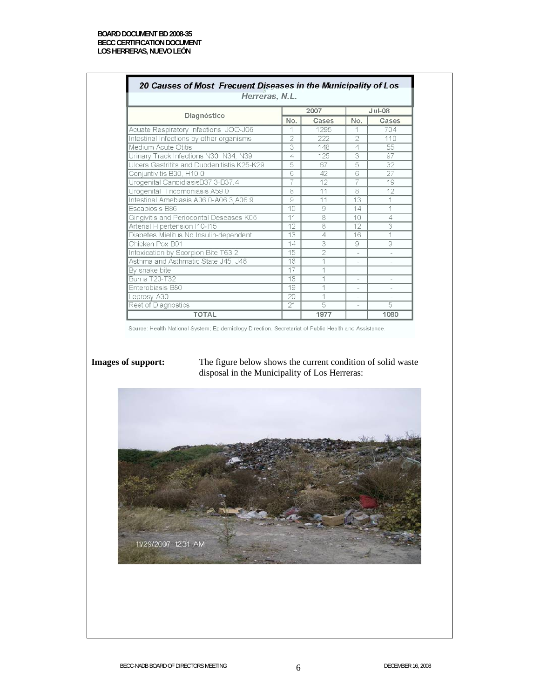|                                             | 2007 |       |                          | $Jul-08$                 |  |
|---------------------------------------------|------|-------|--------------------------|--------------------------|--|
| Diagnóstico                                 | No.  | Cases | No.                      | Cases                    |  |
| Acuate Respiratory Infections JOO-J06       |      | 1295  |                          | 704                      |  |
| Intestinal Infections by other organisms    | 2    | 222   | $\overline{2}$           | 110                      |  |
| Medium Acute Otitis                         | 3    | 148   | 4                        | 55                       |  |
| Urinary Track Infections N30, N34, N39      | 4    | 125   | 3                        | 97                       |  |
| Ulcers Gastritits and Duodenitistis K25-K29 | 5    | 67    | 5                        | 32                       |  |
| Conjuntivitis B30, H10.0                    | 6    | 42    | 6                        | 27                       |  |
| Urogenital CandidiasisB37.3-B37.4           | 7    | 12    | 7                        | 19                       |  |
| Urogenital Tricomoniasis A59.0              | 8    | 11    | 8                        | 12                       |  |
| Intestinal Amebiasis A06.0-A06.3, A06.9     | 9    | 11    | 13                       | 1                        |  |
| Escabiosis B86                              | 10   | 9     | 14                       | 1                        |  |
| Gingivitis and Periodontal Deseases K05     | 11   | 8     | 10                       | 4                        |  |
| Arterial Hipertension I10-I15               | 12   | 8     | 12                       | 3                        |  |
| Diabetes Mielitus No Insulin-dependent      | 13   | 4     | 16                       | 1                        |  |
| Chicken Pox B01                             | 14   | 3     | 9                        | 9                        |  |
| Intoxication by Scorpion Bite T63.2         | 15   | 2     |                          |                          |  |
| Asthma and Asthmatic State J45, J46         | 16   |       | ÷.                       | ÷                        |  |
| By snake bite                               | 17   |       |                          |                          |  |
| <b>Burns T20-T32</b>                        | 18   |       |                          |                          |  |
| Enterobiasis B80                            | 19   |       | $\overline{\phantom{a}}$ | $\overline{\phantom{a}}$ |  |
| Leprosy A30                                 | 20   | 4     |                          |                          |  |
| Rest of Diagnostics                         | 21   | 5     | $\overline{\phantom{a}}$ | $\overline{5}$           |  |

**Images of support:** The figure below shows the current condition of solid waste disposal in the Municipality of Los Herreras:

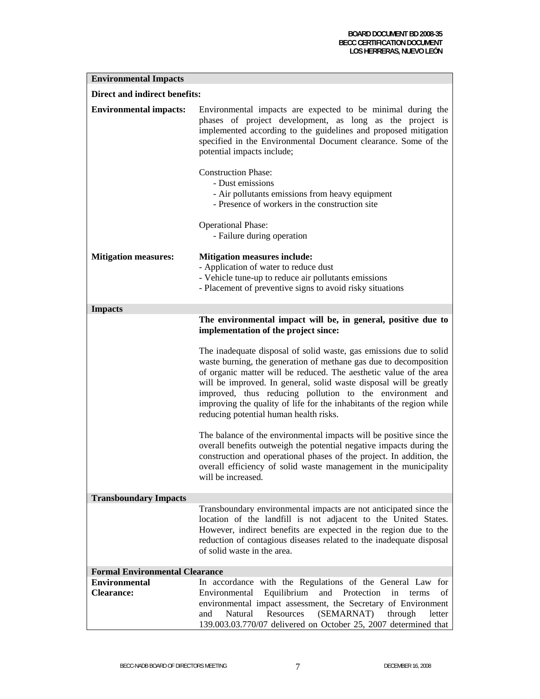| <b>Environmental Impacts</b>              |                                                                                                                                                                                                                                                                                                                                                                                                                                                                    |  |  |  |  |
|-------------------------------------------|--------------------------------------------------------------------------------------------------------------------------------------------------------------------------------------------------------------------------------------------------------------------------------------------------------------------------------------------------------------------------------------------------------------------------------------------------------------------|--|--|--|--|
|                                           | Direct and indirect benefits:                                                                                                                                                                                                                                                                                                                                                                                                                                      |  |  |  |  |
| <b>Environmental impacts:</b>             | Environmental impacts are expected to be minimal during the<br>phases of project development, as long as the project is<br>implemented according to the guidelines and proposed mitigation<br>specified in the Environmental Document clearance. Some of the<br>potential impacts include;<br><b>Construction Phase:</b><br>- Dust emissions<br>- Air pollutants emissions from heavy equipment<br>- Presence of workers in the construction site                  |  |  |  |  |
|                                           |                                                                                                                                                                                                                                                                                                                                                                                                                                                                    |  |  |  |  |
|                                           | <b>Operational Phase:</b><br>- Failure during operation                                                                                                                                                                                                                                                                                                                                                                                                            |  |  |  |  |
| <b>Mitigation measures:</b>               | <b>Mitigation measures include:</b><br>- Application of water to reduce dust<br>- Vehicle tune-up to reduce air pollutants emissions<br>- Placement of preventive signs to avoid risky situations                                                                                                                                                                                                                                                                  |  |  |  |  |
| <b>Impacts</b>                            |                                                                                                                                                                                                                                                                                                                                                                                                                                                                    |  |  |  |  |
|                                           | The environmental impact will be, in general, positive due to<br>implementation of the project since:                                                                                                                                                                                                                                                                                                                                                              |  |  |  |  |
|                                           | The inadequate disposal of solid waste, gas emissions due to solid<br>waste burning, the generation of methane gas due to decomposition<br>of organic matter will be reduced. The aesthetic value of the area<br>will be improved. In general, solid waste disposal will be greatly<br>improved, thus reducing pollution to the environment and<br>improving the quality of life for the inhabitants of the region while<br>reducing potential human health risks. |  |  |  |  |
|                                           | The balance of the environmental impacts will be positive since the<br>overall benefits outweigh the potential negative impacts during the<br>construction and operational phases of the project. In addition, the<br>overall efficiency of solid waste management in the municipality<br>will be increased.                                                                                                                                                       |  |  |  |  |
| <b>Transboundary Impacts</b>              |                                                                                                                                                                                                                                                                                                                                                                                                                                                                    |  |  |  |  |
|                                           | Transboundary environmental impacts are not anticipated since the<br>location of the landfill is not adjacent to the United States.<br>However, indirect benefits are expected in the region due to the<br>reduction of contagious diseases related to the inadequate disposal<br>of solid waste in the area.                                                                                                                                                      |  |  |  |  |
| <b>Formal Environmental Clearance</b>     |                                                                                                                                                                                                                                                                                                                                                                                                                                                                    |  |  |  |  |
| <b>Environmental</b><br><b>Clearance:</b> | In accordance with the Regulations of the General Law for<br>Equilibrium<br>Protection<br>Environmental<br>and<br>in<br>of<br>terms<br>environmental impact assessment, the Secretary of Environment<br>(SEMARNAT)<br>Natural<br>Resources<br>and<br>through<br>letter<br>139.003.03.770/07 delivered on October 25, 2007 determined that                                                                                                                          |  |  |  |  |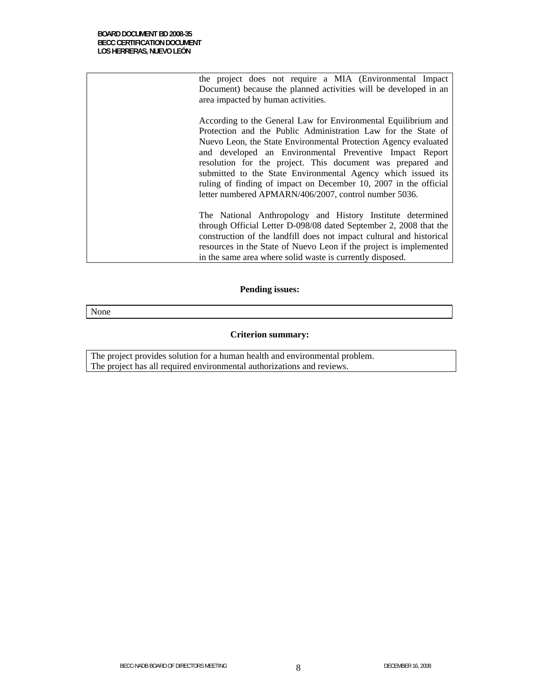| the project does not require a MIA (Environmental Impact)            |
|----------------------------------------------------------------------|
| Document) because the planned activities will be developed in an     |
| area impacted by human activities.                                   |
|                                                                      |
| According to the General Law for Environmental Equilibrium and       |
| Protection and the Public Administration Law for the State of        |
| Nuevo Leon, the State Environmental Protection Agency evaluated      |
| and developed an Environmental Preventive Impact Report              |
| resolution for the project. This document was prepared and           |
| submitted to the State Environmental Agency which issued its         |
| ruling of finding of impact on December 10, 2007 in the official     |
| letter numbered APMARN/406/2007, control number 5036.                |
|                                                                      |
|                                                                      |
| The National Anthropology and History Institute determined           |
| through Official Letter D-098/08 dated September 2, 2008 that the    |
| construction of the landfill does not impact cultural and historical |
| resources in the State of Nuevo Leon if the project is implemented   |
| in the same area where solid waste is currently disposed.            |
|                                                                      |

### **Pending issues:**

None

#### **Criterion summary:**

The project provides solution for a human health and environmental problem. The project has all required environmental authorizations and reviews.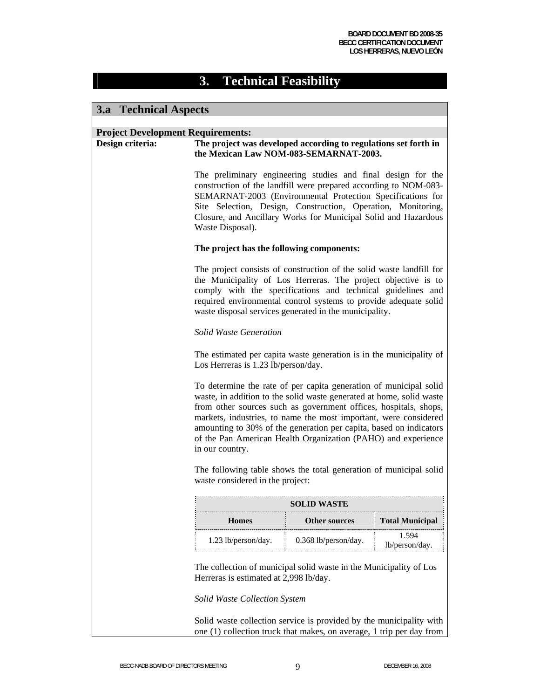# **3. Technical Feasibility**

### **3.a Technical Aspects**

### **Project Development Requirements:**

| Project Development Requirements:<br>Design criteria: |                                                                                                                                                                                                                                                                                                                                                                                                                                             | The project was developed according to regulations set forth in<br>the Mexican Law NOM-083-SEMARNAT-2003.                                                                                                                                                                                                                          |                         |  |
|-------------------------------------------------------|---------------------------------------------------------------------------------------------------------------------------------------------------------------------------------------------------------------------------------------------------------------------------------------------------------------------------------------------------------------------------------------------------------------------------------------------|------------------------------------------------------------------------------------------------------------------------------------------------------------------------------------------------------------------------------------------------------------------------------------------------------------------------------------|-------------------------|--|
|                                                       | The preliminary engineering studies and final design for the<br>construction of the landfill were prepared according to NOM-083-<br>SEMARNAT-2003 (Environmental Protection Specifications for<br>Site Selection, Design, Construction, Operation, Monitoring,<br>Closure, and Ancillary Works for Municipal Solid and Hazardous<br>Waste Disposal).                                                                                        |                                                                                                                                                                                                                                                                                                                                    |                         |  |
|                                                       | The project has the following components:                                                                                                                                                                                                                                                                                                                                                                                                   |                                                                                                                                                                                                                                                                                                                                    |                         |  |
|                                                       |                                                                                                                                                                                                                                                                                                                                                                                                                                             | The project consists of construction of the solid waste landfill for<br>the Municipality of Los Herreras. The project objective is to<br>comply with the specifications and technical guidelines and<br>required environmental control systems to provide adequate solid<br>waste disposal services generated in the municipality. |                         |  |
|                                                       | <b>Solid Waste Generation</b>                                                                                                                                                                                                                                                                                                                                                                                                               |                                                                                                                                                                                                                                                                                                                                    |                         |  |
|                                                       | The estimated per capita waste generation is in the municipality of<br>Los Herreras is 1.23 lb/person/day.                                                                                                                                                                                                                                                                                                                                  |                                                                                                                                                                                                                                                                                                                                    |                         |  |
|                                                       | To determine the rate of per capita generation of municipal solid<br>waste, in addition to the solid waste generated at home, solid waste<br>from other sources such as government offices, hospitals, shops,<br>markets, industries, to name the most important, were considered<br>amounting to 30% of the generation per capita, based on indicators<br>of the Pan American Health Organization (PAHO) and experience<br>in our country. |                                                                                                                                                                                                                                                                                                                                    |                         |  |
|                                                       | The following table shows the total generation of municipal solid<br>waste considered in the project:                                                                                                                                                                                                                                                                                                                                       |                                                                                                                                                                                                                                                                                                                                    |                         |  |
|                                                       |                                                                                                                                                                                                                                                                                                                                                                                                                                             | <b>SOLID WASTE</b>                                                                                                                                                                                                                                                                                                                 |                         |  |
|                                                       | <b>Homes</b>                                                                                                                                                                                                                                                                                                                                                                                                                                | <b>Total Municipal</b><br><b>Other sources</b>                                                                                                                                                                                                                                                                                     |                         |  |
|                                                       | 1.23 lb/person/day.                                                                                                                                                                                                                                                                                                                                                                                                                         | 0.368 lb/person/day.                                                                                                                                                                                                                                                                                                               | 1.594<br>lb/person/day. |  |
|                                                       | The collection of municipal solid waste in the Municipality of Los<br>Herreras is estimated at 2,998 lb/day.                                                                                                                                                                                                                                                                                                                                |                                                                                                                                                                                                                                                                                                                                    |                         |  |
|                                                       | Solid Waste Collection System                                                                                                                                                                                                                                                                                                                                                                                                               |                                                                                                                                                                                                                                                                                                                                    |                         |  |

Solid waste collection service is provided by the municipality with one (1) collection truck that makes, on average, 1 trip per day from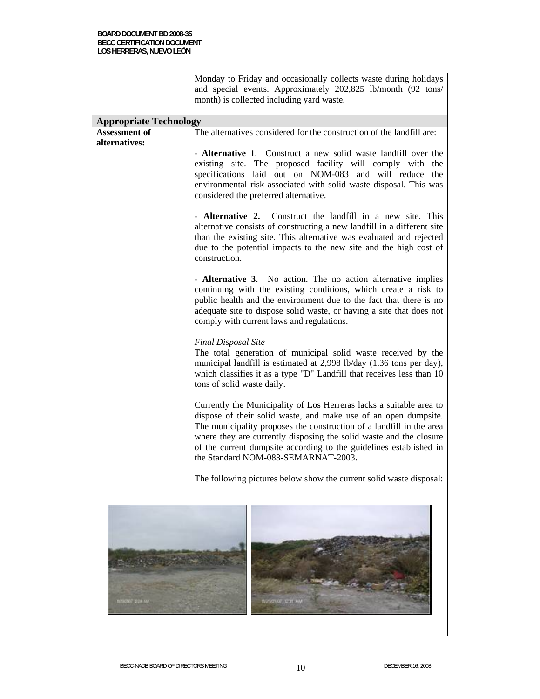|                               | Monday to Friday and occasionally collects waste during holidays<br>and special events. Approximately 202,825 lb/month (92 tons/<br>month) is collected including yard waste.                                                                                                                                                                                                                     |  |  |
|-------------------------------|---------------------------------------------------------------------------------------------------------------------------------------------------------------------------------------------------------------------------------------------------------------------------------------------------------------------------------------------------------------------------------------------------|--|--|
| <b>Appropriate Technology</b> |                                                                                                                                                                                                                                                                                                                                                                                                   |  |  |
| <b>Assessment of</b>          | The alternatives considered for the construction of the landfill are:                                                                                                                                                                                                                                                                                                                             |  |  |
| alternatives:                 |                                                                                                                                                                                                                                                                                                                                                                                                   |  |  |
|                               | - Alternative 1. Construct a new solid waste landfill over the<br>existing site. The proposed facility will comply with the<br>specifications laid out on NOM-083 and will reduce the<br>environmental risk associated with solid waste disposal. This was<br>considered the preferred alternative.                                                                                               |  |  |
|                               | - <b>Alternative 2.</b> Construct the landfill in a new site. This<br>alternative consists of constructing a new landfill in a different site<br>than the existing site. This alternative was evaluated and rejected<br>due to the potential impacts to the new site and the high cost of<br>construction.                                                                                        |  |  |
|                               | - Alternative 3. No action. The no action alternative implies<br>continuing with the existing conditions, which create a risk to<br>public health and the environment due to the fact that there is no<br>adequate site to dispose solid waste, or having a site that does not<br>comply with current laws and regulations.                                                                       |  |  |
|                               | <b>Final Disposal Site</b><br>The total generation of municipal solid waste received by the<br>municipal landfill is estimated at 2,998 lb/day (1.36 tons per day),<br>which classifies it as a type "D" Landfill that receives less than 10<br>tons of solid waste daily.                                                                                                                        |  |  |
|                               | Currently the Municipality of Los Herreras lacks a suitable area to<br>dispose of their solid waste, and make use of an open dumpsite.<br>The municipality proposes the construction of a landfill in the area<br>where they are currently disposing the solid waste and the closure<br>of the current dumpsite according to the guidelines established in<br>the Standard NOM-083-SEMARNAT-2003. |  |  |
|                               | The following pictures below show the current solid waste disposal:                                                                                                                                                                                                                                                                                                                               |  |  |
| masona sea nu-                | <b>WARRANT RETT AM</b>                                                                                                                                                                                                                                                                                                                                                                            |  |  |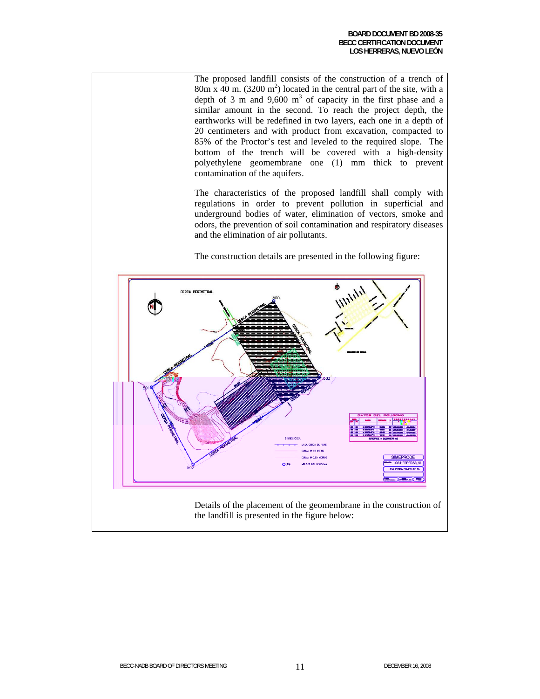The proposed landfill consists of the construction of a trench of  $80m \times 40$  m. (3200 m<sup>2</sup>) located in the central part of the site, with a depth of 3 m and  $9,600 \text{ m}^3$  of capacity in the first phase and a similar amount in the second. To reach the project depth, the earthworks will be redefined in two layers, each one in a depth of 20 centimeters and with product from excavation, compacted to 85% of the Proctor's test and leveled to the required slope. The bottom of the trench will be covered with a high-density polyethylene geomembrane one (1) mm thick to prevent contamination of the aquifers.

The characteristics of the proposed landfill shall comply with regulations in order to prevent pollution in superficial and underground bodies of water, elimination of vectors, smoke and odors, the prevention of soil contamination and respiratory diseases and the elimination of air pollutants.

The construction details are presented in the following figure:

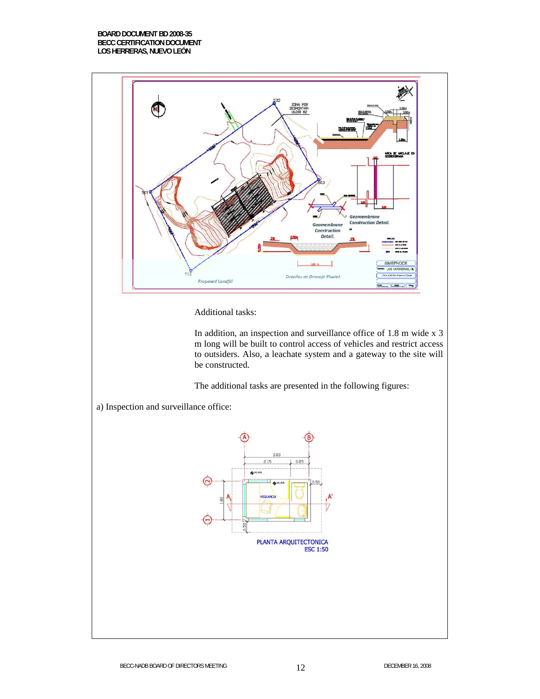#### **BOARD DOCUMENT BD 2008-35 BECC CERTIFICATION DOCUMENT LOS HERRERAS, NUEVO LEÓN**



Additional tasks:

In addition, an inspection and surveillance office of 1.8 m wide x 3 m long will be built to control access of vehicles and restrict access to outsiders. Also, a leachate system and a gateway to the site will be constructed.

The additional tasks are presented in the following figures:

a) Inspection and surveillance office:

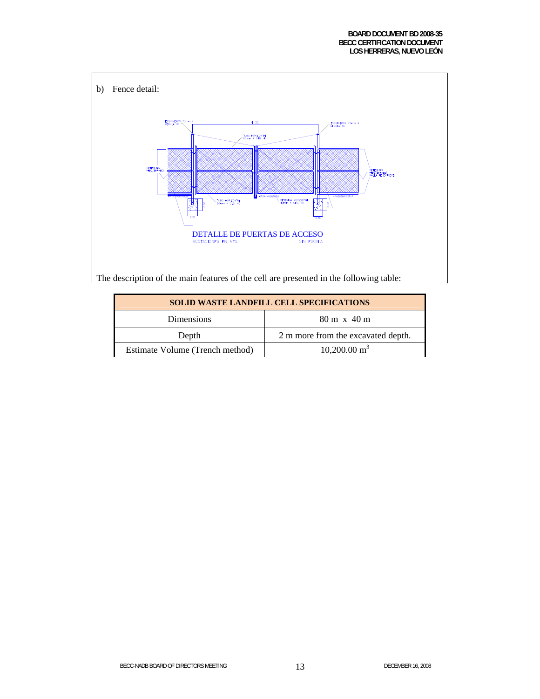

The description of the main features of the cell are presented in the following table:

| <b>SOLID WASTE LANDFILL CELL SPECIFICATIONS</b> |                                    |  |  |
|-------------------------------------------------|------------------------------------|--|--|
| <b>Dimensions</b>                               | $80 \text{ m} \times 40 \text{ m}$ |  |  |
| Depth                                           | 2 m more from the excavated depth. |  |  |
| Estimate Volume (Trench method)                 | $10,200.00 \text{ m}^3$            |  |  |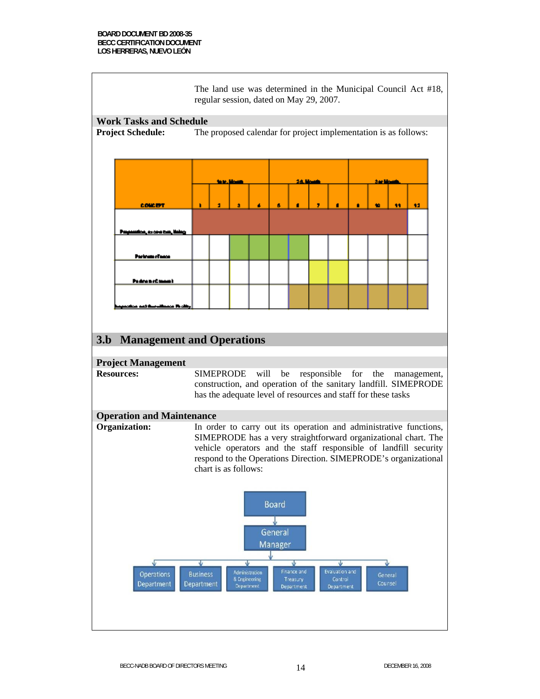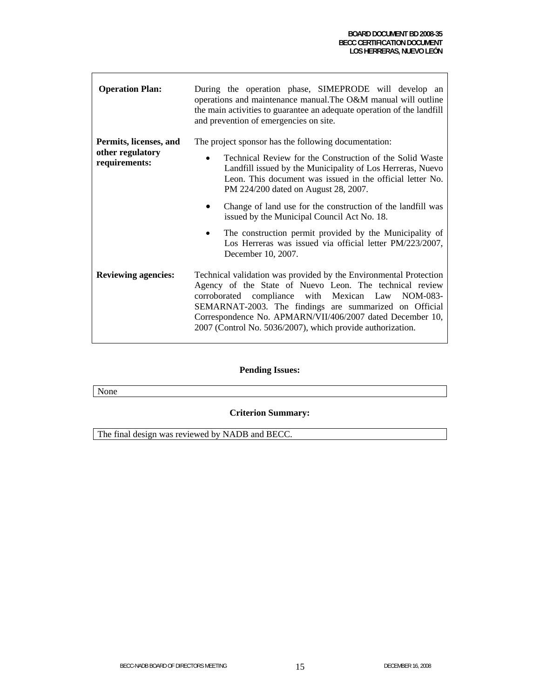| <b>Operation Plan:</b>            | During the operation phase, SIMEPRODE will develop an<br>operations and maintenance manual. The O&M manual will outline<br>the main activities to guarantee an adequate operation of the landfill<br>and prevention of emergencies on site.                                                                                                                               |  |
|-----------------------------------|---------------------------------------------------------------------------------------------------------------------------------------------------------------------------------------------------------------------------------------------------------------------------------------------------------------------------------------------------------------------------|--|
| Permits, licenses, and            | The project sponsor has the following documentation:                                                                                                                                                                                                                                                                                                                      |  |
| other regulatory<br>requirements: | Technical Review for the Construction of the Solid Waste<br>$\bullet$<br>Landfill issued by the Municipality of Los Herreras, Nuevo<br>Leon. This document was issued in the official letter No.<br>PM 224/200 dated on August 28, 2007.                                                                                                                                  |  |
|                                   | Change of land use for the construction of the landfill was<br>issued by the Municipal Council Act No. 18.                                                                                                                                                                                                                                                                |  |
|                                   | The construction permit provided by the Municipality of<br>Los Herreras was issued via official letter PM/223/2007,<br>December 10, 2007.                                                                                                                                                                                                                                 |  |
| <b>Reviewing agencies:</b>        | Technical validation was provided by the Environmental Protection<br>Agency of the State of Nuevo Leon. The technical review<br>compliance with Mexican Law NOM-083-<br>corroborated<br>SEMARNAT-2003. The findings are summarized on Official<br>Correspondence No. APMARN/VII/406/2007 dated December 10,<br>2007 (Control No. 5036/2007), which provide authorization. |  |

### **Pending Issues:**

None

**Criterion Summary:** 

The final design was reviewed by NADB and BECC.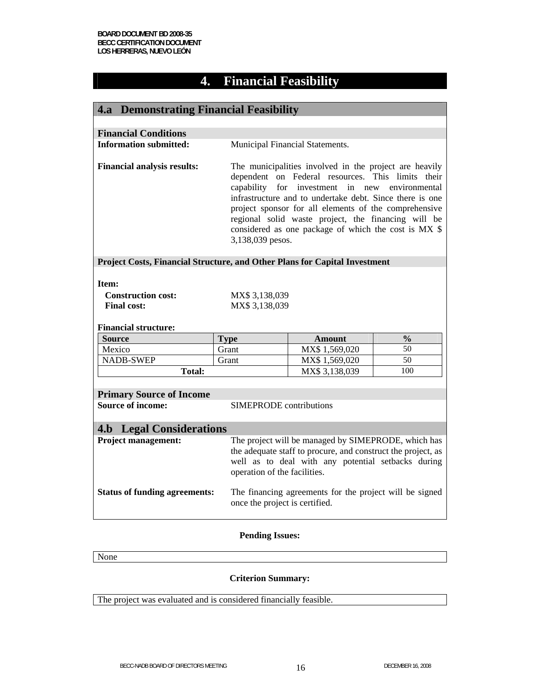# **4. Financial Feasibility**

| <b>4.a</b> Demonstrating Financial Feasibility                                                                                                                                                                                                                                                                                                                                                                                                                                                                                                           |                                 |                                                                                                                                                                                                           |               |  |
|----------------------------------------------------------------------------------------------------------------------------------------------------------------------------------------------------------------------------------------------------------------------------------------------------------------------------------------------------------------------------------------------------------------------------------------------------------------------------------------------------------------------------------------------------------|---------------------------------|-----------------------------------------------------------------------------------------------------------------------------------------------------------------------------------------------------------|---------------|--|
|                                                                                                                                                                                                                                                                                                                                                                                                                                                                                                                                                          |                                 |                                                                                                                                                                                                           |               |  |
| <b>Financial Conditions</b>                                                                                                                                                                                                                                                                                                                                                                                                                                                                                                                              |                                 |                                                                                                                                                                                                           |               |  |
| <b>Information submitted:</b>                                                                                                                                                                                                                                                                                                                                                                                                                                                                                                                            | Municipal Financial Statements. |                                                                                                                                                                                                           |               |  |
| <b>Financial analysis results:</b><br>The municipalities involved in the project are heavily<br>dependent on Federal resources. This limits their<br>capability<br>for investment in new<br>environmental<br>infrastructure and to undertake debt. Since there is one<br>project sponsor for all elements of the comprehensive<br>regional solid waste project, the financing will be<br>considered as one package of which the cost is MX \$<br>3,138,039 pesos.<br>Project Costs, Financial Structure, and Other Plans for Capital Investment<br>Item: |                                 |                                                                                                                                                                                                           |               |  |
| <b>Construction cost:</b>                                                                                                                                                                                                                                                                                                                                                                                                                                                                                                                                | MX\$ 3,138,039                  |                                                                                                                                                                                                           |               |  |
| <b>Final cost:</b>                                                                                                                                                                                                                                                                                                                                                                                                                                                                                                                                       | MX\$ 3,138,039                  |                                                                                                                                                                                                           |               |  |
| <b>Financial structure:</b>                                                                                                                                                                                                                                                                                                                                                                                                                                                                                                                              |                                 |                                                                                                                                                                                                           |               |  |
| <b>Source</b>                                                                                                                                                                                                                                                                                                                                                                                                                                                                                                                                            | <b>Type</b>                     | <b>Amount</b>                                                                                                                                                                                             | $\frac{0}{0}$ |  |
| Mexico                                                                                                                                                                                                                                                                                                                                                                                                                                                                                                                                                   | Grant                           | MX\$ 1,569,020                                                                                                                                                                                            | 50            |  |
| <b>NADB-SWEP</b><br><b>Total:</b>                                                                                                                                                                                                                                                                                                                                                                                                                                                                                                                        | Grant                           | MX\$ 1,569,020                                                                                                                                                                                            | 50<br>100     |  |
|                                                                                                                                                                                                                                                                                                                                                                                                                                                                                                                                                          |                                 | MX\$ 3,138,039                                                                                                                                                                                            |               |  |
|                                                                                                                                                                                                                                                                                                                                                                                                                                                                                                                                                          |                                 |                                                                                                                                                                                                           |               |  |
| <b>Primary Source of Income</b><br><b>Source of income:</b>                                                                                                                                                                                                                                                                                                                                                                                                                                                                                              | <b>SIMEPRODE</b> contributions  |                                                                                                                                                                                                           |               |  |
|                                                                                                                                                                                                                                                                                                                                                                                                                                                                                                                                                          |                                 |                                                                                                                                                                                                           |               |  |
|                                                                                                                                                                                                                                                                                                                                                                                                                                                                                                                                                          |                                 |                                                                                                                                                                                                           |               |  |
| <b>4.b</b> Legal Considerations                                                                                                                                                                                                                                                                                                                                                                                                                                                                                                                          |                                 |                                                                                                                                                                                                           |               |  |
| <b>Project management:</b>                                                                                                                                                                                                                                                                                                                                                                                                                                                                                                                               |                                 | The project will be managed by SIMEPRODE, which has<br>the adequate staff to procure, and construct the project, as<br>well as to deal with any potential setbacks during<br>operation of the facilities. |               |  |
| <b>Status of funding agreements:</b>                                                                                                                                                                                                                                                                                                                                                                                                                                                                                                                     | once the project is certified.  | The financing agreements for the project will be signed                                                                                                                                                   |               |  |

#### **Pending Issues:**

None

### **Criterion Summary:**

The project was evaluated and is considered financially feasible.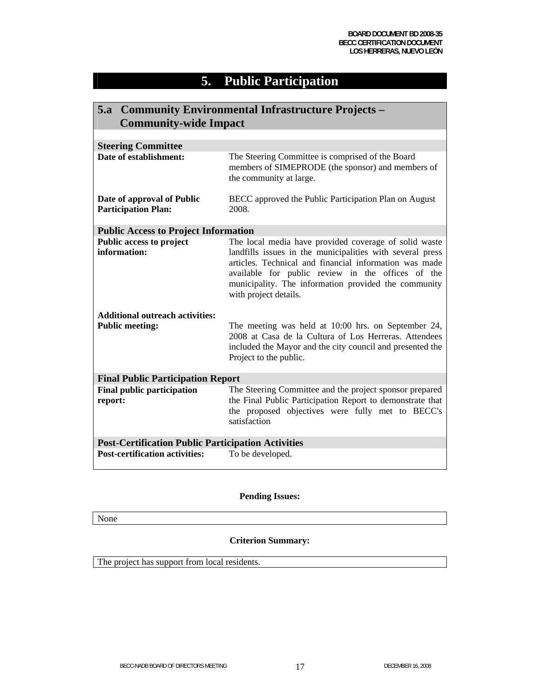# **5. Public Participation**

| 5.a Community Environmental Infrastructure Projects –<br><b>Community-wide Impact</b> |                                                                                                                                                                                                                                                                                                                    |  |  |
|---------------------------------------------------------------------------------------|--------------------------------------------------------------------------------------------------------------------------------------------------------------------------------------------------------------------------------------------------------------------------------------------------------------------|--|--|
|                                                                                       |                                                                                                                                                                                                                                                                                                                    |  |  |
| <b>Steering Committee</b>                                                             |                                                                                                                                                                                                                                                                                                                    |  |  |
| Date of establishment:                                                                | The Steering Committee is comprised of the Board<br>members of SIMEPRODE (the sponsor) and members of<br>the community at large.                                                                                                                                                                                   |  |  |
| Date of approval of Public<br><b>Participation Plan:</b>                              | BECC approved the Public Participation Plan on August<br>2008.                                                                                                                                                                                                                                                     |  |  |
| <b>Public Access to Project Information</b>                                           |                                                                                                                                                                                                                                                                                                                    |  |  |
| <b>Public access to project</b><br>information:                                       | The local media have provided coverage of solid waste<br>landfills issues in the municipalities with several press<br>articles. Technical and financial information was made<br>available for public review in the offices of the<br>municipality. The information provided the community<br>with project details. |  |  |
| <b>Additional outreach activities:</b>                                                |                                                                                                                                                                                                                                                                                                                    |  |  |
| <b>Public meeting:</b>                                                                | The meeting was held at 10:00 hrs. on September 24,<br>2008 at Casa de la Cultura of Los Herreras. Attendees<br>included the Mayor and the city council and presented the<br>Project to the public.                                                                                                                |  |  |
| <b>Final Public Participation Report</b>                                              |                                                                                                                                                                                                                                                                                                                    |  |  |
| <b>Final public participation</b><br>report:                                          | The Steering Committee and the project sponsor prepared<br>the Final Public Participation Report to demonstrate that<br>the proposed objectives were fully met to BECC's<br>satisfaction                                                                                                                           |  |  |
| <b>Post-Certification Public Participation Activities</b>                             |                                                                                                                                                                                                                                                                                                                    |  |  |
| <b>Post-certification activities:</b>                                                 | To be developed.                                                                                                                                                                                                                                                                                                   |  |  |

#### **Pending Issues:**

None

### **Criterion Summary:**

The project has support from local residents.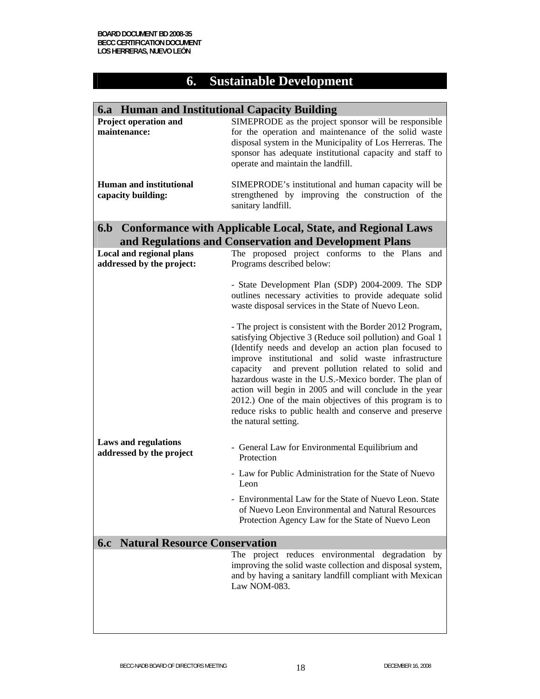# **6. Sustainable Development**

| 6.a Human and Institutional Capacity Building                |                                                                                                                                                                                                                                                                                                                                                                                                                                                                                                                                                                      |  |  |  |
|--------------------------------------------------------------|----------------------------------------------------------------------------------------------------------------------------------------------------------------------------------------------------------------------------------------------------------------------------------------------------------------------------------------------------------------------------------------------------------------------------------------------------------------------------------------------------------------------------------------------------------------------|--|--|--|
| Project operation and<br>maintenance:                        | SIMEPRODE as the project sponsor will be responsible<br>for the operation and maintenance of the solid waste<br>disposal system in the Municipality of Los Herreras. The<br>sponsor has adequate institutional capacity and staff to<br>operate and maintain the landfill.                                                                                                                                                                                                                                                                                           |  |  |  |
| <b>Human and institutional</b><br>capacity building:         | SIMEPRODE's institutional and human capacity will be<br>strengthened by improving the construction of the<br>sanitary landfill.                                                                                                                                                                                                                                                                                                                                                                                                                                      |  |  |  |
|                                                              | 6.b Conformance with Applicable Local, State, and Regional Laws                                                                                                                                                                                                                                                                                                                                                                                                                                                                                                      |  |  |  |
|                                                              | and Regulations and Conservation and Development Plans                                                                                                                                                                                                                                                                                                                                                                                                                                                                                                               |  |  |  |
| <b>Local and regional plans</b><br>addressed by the project: | The proposed project conforms to the Plans<br>and<br>Programs described below:                                                                                                                                                                                                                                                                                                                                                                                                                                                                                       |  |  |  |
|                                                              | - State Development Plan (SDP) 2004-2009. The SDP<br>outlines necessary activities to provide adequate solid<br>waste disposal services in the State of Nuevo Leon.                                                                                                                                                                                                                                                                                                                                                                                                  |  |  |  |
|                                                              | - The project is consistent with the Border 2012 Program,<br>satisfying Objective 3 (Reduce soil pollution) and Goal 1<br>(Identify needs and develop an action plan focused to<br>improve institutional and solid waste infrastructure<br>capacity<br>and prevent pollution related to solid and<br>hazardous waste in the U.S.-Mexico border. The plan of<br>action will begin in 2005 and will conclude in the year<br>2012.) One of the main objectives of this program is to<br>reduce risks to public health and conserve and preserve<br>the natural setting. |  |  |  |
| <b>Laws and regulations</b><br>addressed by the project      | - General Law for Environmental Equilibrium and<br>Protection                                                                                                                                                                                                                                                                                                                                                                                                                                                                                                        |  |  |  |
|                                                              | - Law for Public Administration for the State of Nuevo<br>Leon                                                                                                                                                                                                                                                                                                                                                                                                                                                                                                       |  |  |  |
|                                                              | - Environmental Law for the State of Nuevo Leon. State<br>of Nuevo Leon Environmental and Natural Resources<br>Protection Agency Law for the State of Nuevo Leon                                                                                                                                                                                                                                                                                                                                                                                                     |  |  |  |
| <b>6.c</b> Natural Resource Conservation                     |                                                                                                                                                                                                                                                                                                                                                                                                                                                                                                                                                                      |  |  |  |
|                                                              | The project reduces environmental degradation by<br>improving the solid waste collection and disposal system,<br>and by having a sanitary landfill compliant with Mexican<br>Law NOM-083.                                                                                                                                                                                                                                                                                                                                                                            |  |  |  |
|                                                              |                                                                                                                                                                                                                                                                                                                                                                                                                                                                                                                                                                      |  |  |  |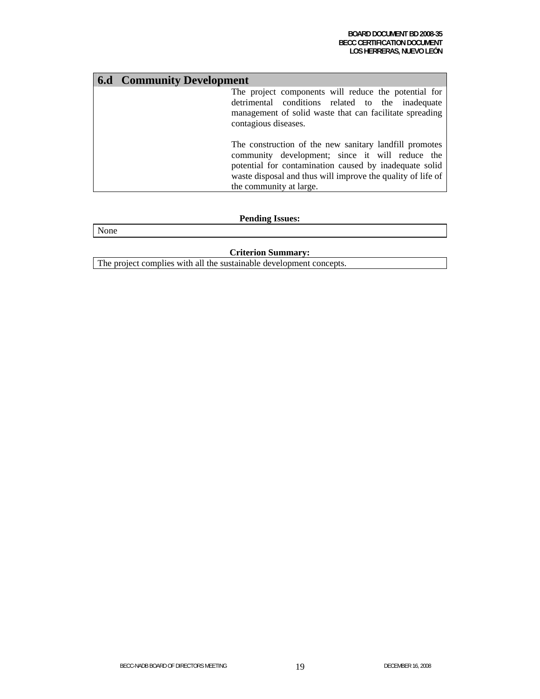| <b>6.d</b> Community Development |                                                                                                                                                                                                                                                               |
|----------------------------------|---------------------------------------------------------------------------------------------------------------------------------------------------------------------------------------------------------------------------------------------------------------|
|                                  | The project components will reduce the potential for<br>detrimental conditions related to the inadequate<br>management of solid waste that can facilitate spreading<br>contagious diseases.                                                                   |
|                                  | The construction of the new sanitary landfill promotes<br>community development; since it will reduce the<br>potential for contamination caused by inadequate solid<br>waste disposal and thus will improve the quality of life of<br>the community at large. |

### **Pending Issues:**

None

### **Criterion Summary:**

The project complies with all the sustainable development concepts.